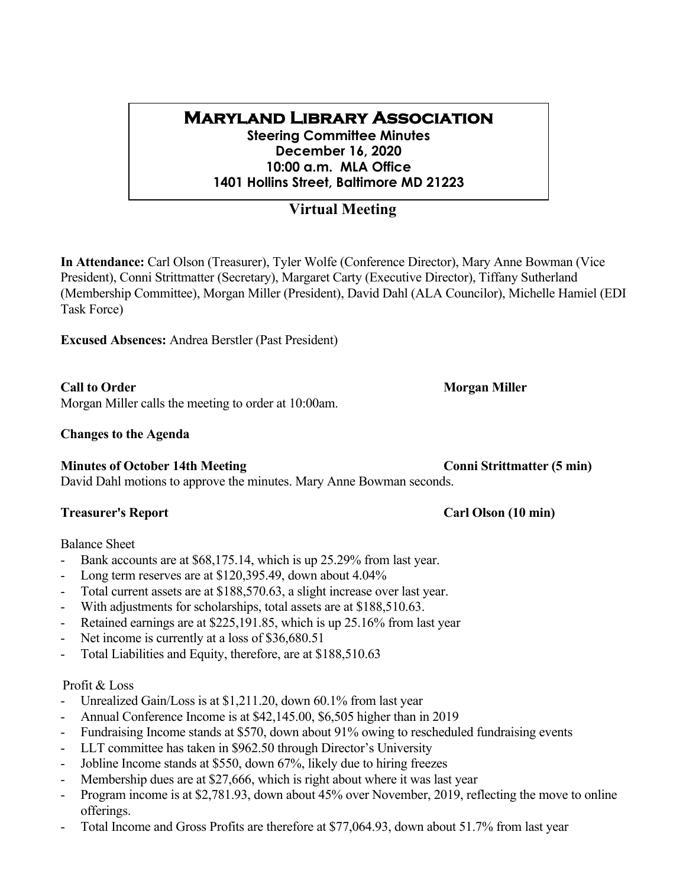# **Maryland Library Association**

**Steering Committee Minutes December 16, 2020 10:00 a.m. MLA Office 1401 Hollins Street, Baltimore MD 21223**

## **Virtual Meeting**

**In Attendance:** Carl Olson (Treasurer), Tyler Wolfe (Conference Director), Mary Anne Bowman (Vice President), Conni Strittmatter (Secretary), Margaret Carty (Executive Director), Tiffany Sutherland (Membership Committee), Morgan Miller (President), David Dahl (ALA Councilor), Michelle Hamiel (EDI Task Force)

**Excused Absences:** Andrea Berstler (Past President)

Morgan Miller calls the meeting to order at 10:00am.

### **Changes to the Agenda**

## **Minutes of October 14th Meeting <b>Conni** Strittmatter (5 min)

David Dahl motions to approve the minutes. Mary Anne Bowman seconds.

## **Treasurer's Report Carl Olson (10 min)**

Balance Sheet

- Bank accounts are at \$68,175.14, which is up 25.29% from last year.
- Long term reserves are at \$120,395.49, down about 4.04%
- Total current assets are at \$188,570.63, a slight increase over last year.
- With adjustments for scholarships, total assets are at \$188,510.63.
- Retained earnings are at \$225,191.85, which is up 25.16% from last year
- Net income is currently at a loss of \$36,680.51
- Total Liabilities and Equity, therefore, are at \$188,510.63

## Profit & Loss

- Unrealized Gain/Loss is at \$1,211.20, down 60.1% from last year
- Annual Conference Income is at \$42,145.00, \$6,505 higher than in 2019
- Fundraising Income stands at \$570, down about 91% owing to rescheduled fundraising events
- LLT committee has taken in \$962.50 through Director's University
- Jobline Income stands at \$550, down 67%, likely due to hiring freezes
- Membership dues are at \$27,666, which is right about where it was last year
- Program income is at \$2,781.93, down about 45% over November, 2019, reflecting the move to online offerings.
- Total Income and Gross Profits are therefore at \$77,064.93, down about 51.7% from last year

## **Call to Order Morgan Miller**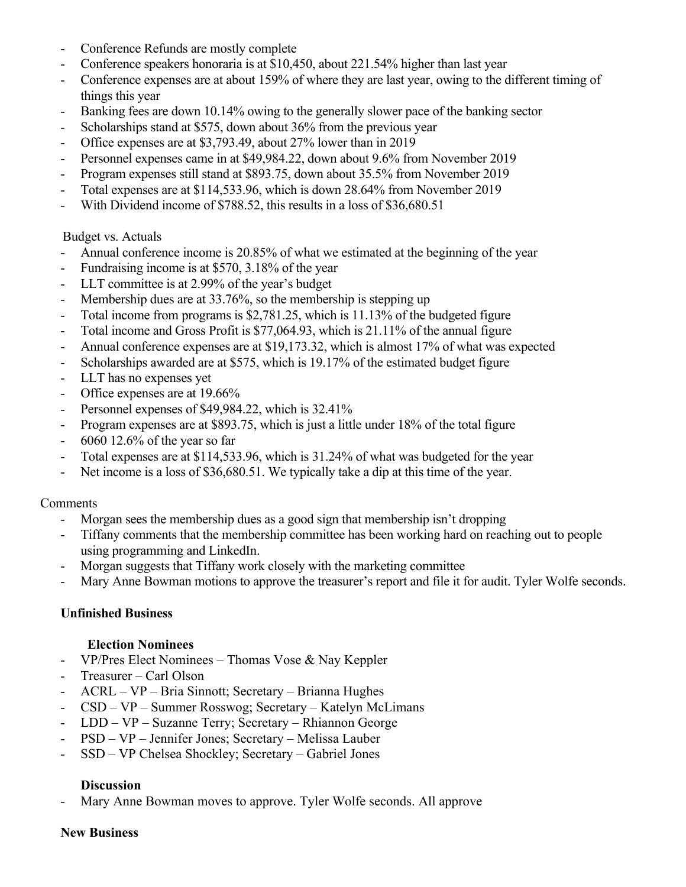- Conference Refunds are mostly complete
- Conference speakers honoraria is at \$10,450, about 221.54% higher than last year
- Conference expenses are at about 159% of where they are last year, owing to the different timing of things this year
- Banking fees are down 10.14% owing to the generally slower pace of the banking sector
- Scholarships stand at \$575, down about 36% from the previous year
- Office expenses are at \$3,793.49, about 27% lower than in 2019
- Personnel expenses came in at \$49,984.22, down about 9.6% from November 2019
- Program expenses still stand at \$893.75, down about 35.5% from November 2019
- Total expenses are at \$114,533.96, which is down 28.64% from November 2019
- With Dividend income of \$788.52, this results in a loss of \$36,680.51

### Budget vs. Actuals

- Annual conference income is 20.85% of what we estimated at the beginning of the year
- Fundraising income is at \$570, 3.18% of the year
- LLT committee is at 2.99% of the year's budget
- Membership dues are at 33.76%, so the membership is stepping up
- Total income from programs is \$2,781.25, which is 11.13% of the budgeted figure
- Total income and Gross Profit is \$77,064.93, which is 21.11% of the annual figure
- Annual conference expenses are at \$19,173.32, which is almost 17% of what was expected
- Scholarships awarded are at \$575, which is 19.17% of the estimated budget figure
- LLT has no expenses yet
- Office expenses are at 19.66%
- Personnel expenses of \$49,984.22, which is 32.41%
- Program expenses are at \$893.75, which is just a little under 18% of the total figure
- 6060 12.6% of the year so far
- Total expenses are at \$114,533.96, which is 31.24% of what was budgeted for the year
- Net income is a loss of \$36,680.51. We typically take a dip at this time of the year.

### Comments

- Morgan sees the membership dues as a good sign that membership isn't dropping
- Tiffany comments that the membership committee has been working hard on reaching out to people using programming and LinkedIn.
- Morgan suggests that Tiffany work closely with the marketing committee
- Mary Anne Bowman motions to approve the treasurer's report and file it for audit. Tyler Wolfe seconds.

### **Unfinished Business**

### **Election Nominees**

- VP/Pres Elect Nominees Thomas Vose & Nay Keppler
- Treasurer Carl Olson
- ACRL VP Bria Sinnott; Secretary Brianna Hughes
- CSD VP Summer Rosswog; Secretary Katelyn McLimans
- LDD VP Suzanne Terry; Secretary Rhiannon George
- PSD VP Jennifer Jones; Secretary Melissa Lauber
- SSD VP Chelsea Shockley; Secretary Gabriel Jones

### **Discussion**

Mary Anne Bowman moves to approve. Tyler Wolfe seconds. All approve

### **New Business**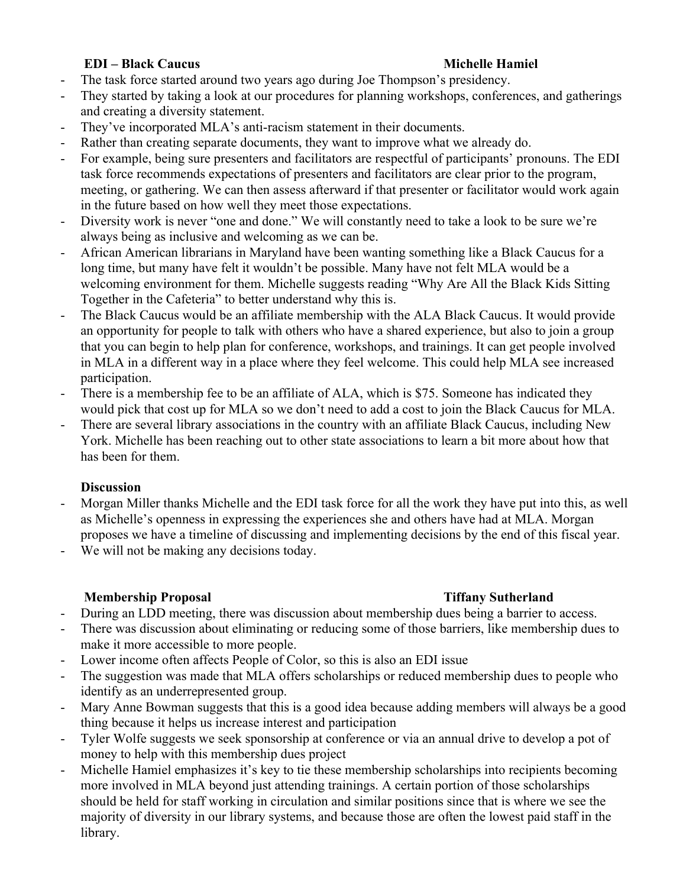## **EDI – Black Caucus Michelle Hamiel**

- The task force started around two years ago during Joe Thompson's presidency.
- They started by taking a look at our procedures for planning workshops, conferences, and gatherings and creating a diversity statement.
- They've incorporated MLA's anti-racism statement in their documents.
- Rather than creating separate documents, they want to improve what we already do.
- For example, being sure presenters and facilitators are respectful of participants' pronouns. The EDI task force recommends expectations of presenters and facilitators are clear prior to the program, meeting, or gathering. We can then assess afterward if that presenter or facilitator would work again in the future based on how well they meet those expectations.
- Diversity work is never "one and done." We will constantly need to take a look to be sure we're always being as inclusive and welcoming as we can be.
- African American librarians in Maryland have been wanting something like a Black Caucus for a long time, but many have felt it wouldn't be possible. Many have not felt MLA would be a welcoming environment for them. Michelle suggests reading "Why Are All the Black Kids Sitting Together in the Cafeteria" to better understand why this is.
- The Black Caucus would be an affiliate membership with the ALA Black Caucus. It would provide an opportunity for people to talk with others who have a shared experience, but also to join a group that you can begin to help plan for conference, workshops, and trainings. It can get people involved in MLA in a different way in a place where they feel welcome. This could help MLA see increased participation.
- There is a membership fee to be an affiliate of ALA, which is \$75. Someone has indicated they would pick that cost up for MLA so we don't need to add a cost to join the Black Caucus for MLA.
- There are several library associations in the country with an affiliate Black Caucus, including New York. Michelle has been reaching out to other state associations to learn a bit more about how that has been for them.

## **Discussion**

- Morgan Miller thanks Michelle and the EDI task force for all the work they have put into this, as well as Michelle's openness in expressing the experiences she and others have had at MLA. Morgan proposes we have a timeline of discussing and implementing decisions by the end of this fiscal year.
- We will not be making any decisions today.

## **Membership Proposal Tiffany Sutherland**

- 
- During an LDD meeting, there was discussion about membership dues being a barrier to access.
- There was discussion about eliminating or reducing some of those barriers, like membership dues to make it more accessible to more people.
- Lower income often affects People of Color, so this is also an EDI issue
- The suggestion was made that MLA offers scholarships or reduced membership dues to people who identify as an underrepresented group.
- Mary Anne Bowman suggests that this is a good idea because adding members will always be a good thing because it helps us increase interest and participation
- Tyler Wolfe suggests we seek sponsorship at conference or via an annual drive to develop a pot of money to help with this membership dues project
- Michelle Hamiel emphasizes it's key to tie these membership scholarships into recipients becoming more involved in MLA beyond just attending trainings. A certain portion of those scholarships should be held for staff working in circulation and similar positions since that is where we see the majority of diversity in our library systems, and because those are often the lowest paid staff in the library.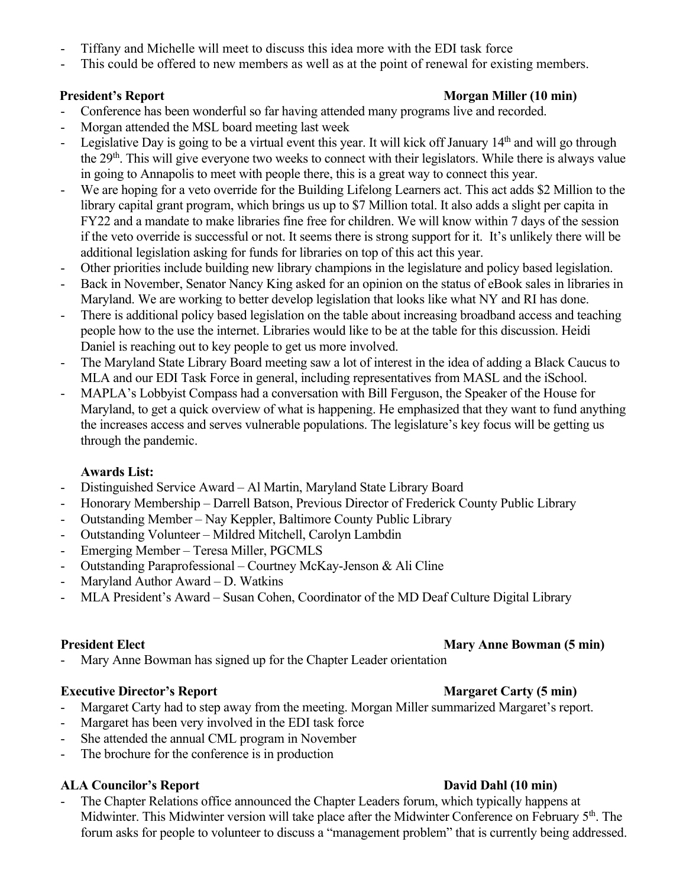- Tiffany and Michelle will meet to discuss this idea more with the EDI task force
- This could be offered to new members as well as at the point of renewal for existing members.

## **President's Report Morgan Miller (10 min)**

- Conference has been wonderful so far having attended many programs live and recorded.
- Morgan attended the MSL board meeting last week
- Legislative Day is going to be a virtual event this year. It will kick off January  $14<sup>th</sup>$  and will go through the 29<sup>th</sup>. This will give everyone two weeks to connect with their legislators. While there is always value in going to Annapolis to meet with people there, this is a great way to connect this year.
- We are hoping for a veto override for the Building Lifelong Learners act. This act adds \$2 Million to the library capital grant program, which brings us up to \$7 Million total. It also adds a slight per capita in FY22 and a mandate to make libraries fine free for children. We will know within 7 days of the session if the veto override is successful or not. It seems there is strong support for it. It's unlikely there will be additional legislation asking for funds for libraries on top of this act this year.
- Other priorities include building new library champions in the legislature and policy based legislation.
- Back in November, Senator Nancy King asked for an opinion on the status of eBook sales in libraries in Maryland. We are working to better develop legislation that looks like what NY and RI has done.
- There is additional policy based legislation on the table about increasing broadband access and teaching people how to the use the internet. Libraries would like to be at the table for this discussion. Heidi Daniel is reaching out to key people to get us more involved.
- The Maryland State Library Board meeting saw a lot of interest in the idea of adding a Black Caucus to MLA and our EDI Task Force in general, including representatives from MASL and the iSchool.
- MAPLA's Lobbyist Compass had a conversation with Bill Ferguson, the Speaker of the House for Maryland, to get a quick overview of what is happening. He emphasized that they want to fund anything the increases access and serves vulnerable populations. The legislature's key focus will be getting us through the pandemic.

## **Awards List:**

- Distinguished Service Award Al Martin, Maryland State Library Board
- Honorary Membership Darrell Batson, Previous Director of Frederick County Public Library
- Outstanding Member Nay Keppler, Baltimore County Public Library
- Outstanding Volunteer Mildred Mitchell, Carolyn Lambdin
- Emerging Member Teresa Miller, PGCMLS
- Outstanding Paraprofessional Courtney McKay-Jenson & Ali Cline
- Maryland Author Award D. Watkins
- MLA President's Award Susan Cohen, Coordinator of the MD Deaf Culture Digital Library

## **President Elect Mary Anne Bowman (5 min)**

Mary Anne Bowman has signed up for the Chapter Leader orientation

## **Executive Director's Report Margaret Carty** (5 min)

- Margaret Carty had to step away from the meeting. Morgan Miller summarized Margaret's report.
- Margaret has been very involved in the EDI task force
- She attended the annual CML program in November
- The brochure for the conference is in production

## **ALA Councilor's Report David Dahl (10 min)**

The Chapter Relations office announced the Chapter Leaders forum, which typically happens at Midwinter. This Midwinter version will take place after the Midwinter Conference on February 5<sup>th</sup>. The forum asks for people to volunteer to discuss a "management problem" that is currently being addressed.